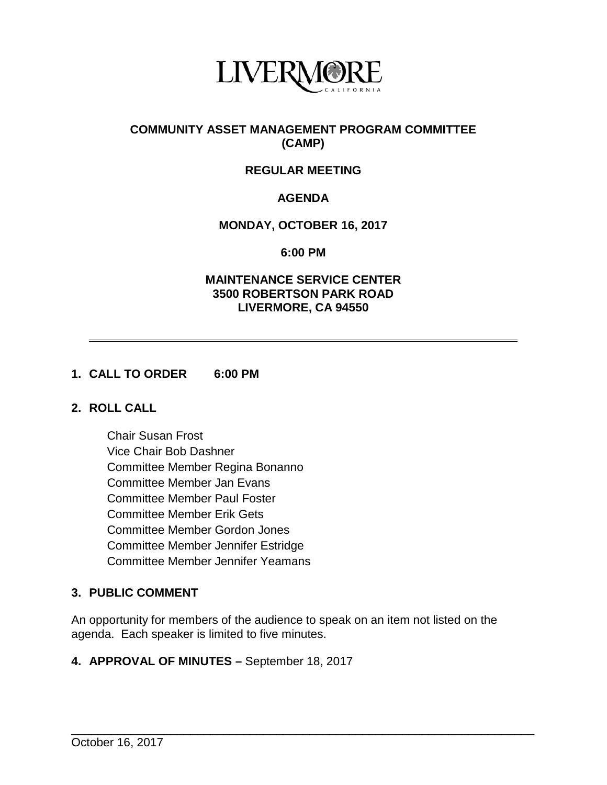

## **COMMUNITY ASSET MANAGEMENT PROGRAM COMMITTEE (CAMP)**

## **REGULAR MEETING**

# **AGENDA**

### **MONDAY, OCTOBER 16, 2017**

**6:00 PM**

#### **MAINTENANCE SERVICE CENTER 3500 ROBERTSON PARK ROAD LIVERMORE, CA 94550**

### **1. CALL TO ORDER 6:00 PM**

#### **2. ROLL CALL**

Chair Susan Frost Vice Chair Bob Dashner Committee Member Regina Bonanno Committee Member Jan Evans Committee Member Paul Foster Committee Member Erik Gets Committee Member Gordon Jones Committee Member Jennifer Estridge Committee Member Jennifer Yeamans

## **3. PUBLIC COMMENT**

An opportunity for members of the audience to speak on an item not listed on the agenda. Each speaker is limited to five minutes.

#### **4. APPROVAL OF MINUTES –** September 18, 2017